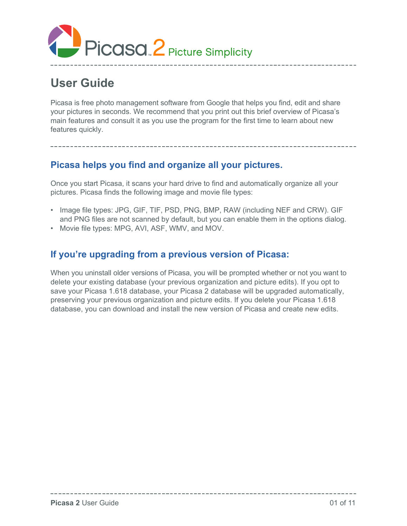

# **User Guide**

Picasa is free photo management software from Google that helps you find, edit and share your pictures in seconds. We recommend that you print out this brief overview of Picasa's main features and consult it as you use the program for the first time to learn about new features quickly.

# **Picasa helps you find and organize all your pictures.**

Once you start Picasa, it scans your hard drive to find and automatically organize all your pictures. Picasa finds the following image and movie file types:

- Image file types: JPG, GIF, TIF, PSD, PNG, BMP, RAW (including NEF and CRW). GIF and PNG files are not scanned by default, but you can enable them in the options dialog.
- Movie file types: MPG, AVI, ASF, WMV, and MOV.

### **If you're upgrading from a previous version of Picasa:**

When you uninstall older versions of Picasa, you will be prompted whether or not you want to delete your existing database (your previous organization and picture edits). If you opt to save your Picasa 1.618 database, your Picasa 2 database will be upgraded automatically, preserving your previous organization and picture edits. If you delete your Picasa 1.618 database, you can download and install the new version of Picasa and create new edits.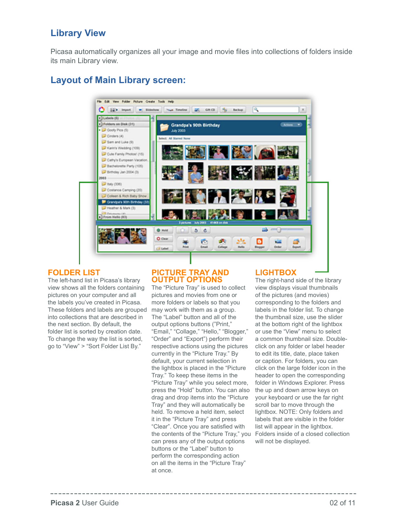### **Library View**

Picasa automatically organizes all your image and movie files into collections of folders inside its main Library view.

# **Layout of Main Library screen:**



#### **FOLDER LIST**

The left-hand list in Picasa's library view shows all the folders containing pictures on your computer and all the labels you've created in Picasa. These folders and labels are grouped into collections that are described in the next section. By default, the folder list is sorted by creation date. To change the way the list is sorted, go to "View" > "Sort Folder List By."

#### **PICTURE TRAY AND OUTPUT OPTIONS**

The "Picture Tray" is used to collect pictures and movies from one or more folders or labels so that you may work with them as a group. The "Label" button and all of the output options buttons ("Print," "Email," "Collage," "Hello," "Blogger," "Order" and "Export") perform their respective actions using the pictures currently in the "Picture Tray." By default, your current selection in the lightbox is placed in the "Picture Tray." To keep these items in the "Picture Tray" while you select more, press the "Hold" button. You can also drag and drop items into the "Picture Tray" and they will automatically be held. To remove a held item, select it in the "Picture Tray" and press "Clear". Once you are satisfied with the contents of the "Picture Tray," you can press any of the output options buttons or the "Label" button to perform the corresponding action on all the items in the "Picture Tray" at once.

#### **LIGHTBOX**

The right-hand side of the library view displays visual thumbnails of the pictures (and movies) corresponding to the folders and labels in the folder list. To change the thumbnail size, use the slider at the bottom right of the lightbox or use the "View" menu to select a common thumbnail size. Doubleclick on any folder or label header to edit its title, date, place taken or caption. For folders, you can click on the large folder icon in the header to open the corresponding folder in Windows Explorer. Press the up and down arrow keys on your keyboard or use the far right scroll bar to move through the lightbox. NOTE: Only folders and labels that are visible in the folder list will appear in the lightbox. Folders inside of a closed collection will not be displayed.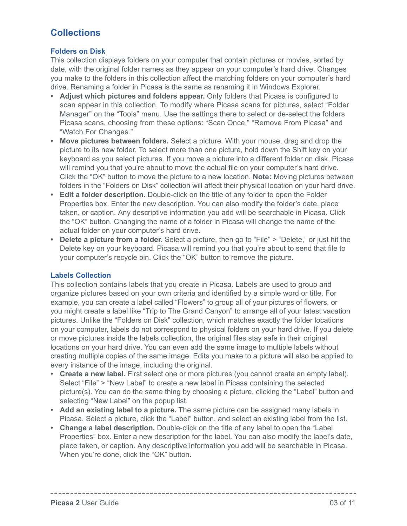# **Collections**

#### **Folders on Disk**

This collection displays folders on your computer that contain pictures or movies, sorted by date, with the original folder names as they appear on your computer's hard drive. Changes you make to the folders in this collection affect the matching folders on your computer's hard drive. Renaming a folder in Picasa is the same as renaming it in Windows Explorer.

- **Adjust which pictures and folders appear.** Only folders that Picasa is configured to scan appear in this collection. To modify where Picasa scans for pictures, select "Folder Manager" on the "Tools" menu. Use the settings there to select or de-select the folders Picasa scans, choosing from these options: "Scan Once," "Remove From Picasa" and "Watch For Changes."
- **Move pictures between folders.** Select a picture. With your mouse, drag and drop the picture to its new folder. To select more than one picture, hold down the Shift key on your keyboard as you select pictures. If you move a picture into a different folder on disk, Picasa will remind you that you're about to move the actual file on your computer's hard drive. Click the "OK" button to move the picture to a new location. **Note:** Moving pictures between folders in the "Folders on Disk" collection will affect their physical location on your hard drive.
- **Edit a folder description.** Double-click on the title of any folder to open the Folder Properties box. Enter the new description. You can also modify the folder's date, place taken, or caption. Any descriptive information you add will be searchable in Picasa. Click the "OK" button. Changing the name of a folder in Picasa will change the name of the actual folder on your computer's hard drive.
- **Delete a picture from a folder.** Select a picture, then go to "File" > "Delete," or just hit the Delete key on your keyboard. Picasa will remind you that you're about to send that file to your computer's recycle bin. Click the "OK" button to remove the picture.

#### **Labels Collection**

This collection contains labels that you create in Picasa. Labels are used to group and organize pictures based on your own criteria and identified by a simple word or title. For example, you can create a label called "Flowers" to group all of your pictures of flowers, or you might create a label like "Trip to The Grand Canyon" to arrange all of your latest vacation pictures. Unlike the "Folders on Disk" collection, which matches exactly the folder locations on your computer, labels do not correspond to physical folders on your hard drive. If you delete or move pictures inside the labels collection, the original files stay safe in their original locations on your hard drive. You can even add the same image to multiple labels without creating multiple copies of the same image. Edits you make to a picture will also be applied to every instance of the image, including the original.

- **Create a new label.** First select one or more pictures (you cannot create an empty label). Select "File" > "New Label" to create a new label in Picasa containing the selected picture(s). You can do the same thing by choosing a picture, clicking the "Label" button and selecting "New Label" on the popup list.
- **Add an existing label to a picture.** The same picture can be assigned many labels in Picasa. Select a picture, click the "Label" button, and select an existing label from the list.
- **Change a label description.** Double-click on the title of any label to open the "Label Properties" box. Enter a new description for the label. You can also modify the label's date, place taken, or caption. Any descriptive information you add will be searchable in Picasa. When you're done, click the "OK" button.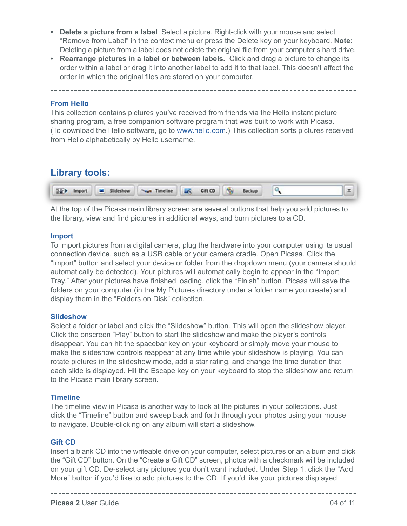- **Delete a picture from a label** Select a picture. Right-click with your mouse and select "Remove from Label" in the context menu or press the Delete key on your keyboard. **Note:** Deleting a picture from a label does not delete the original file from your computer's hard drive.
- **Rearrange pictures in a label or between labels.** Click and drag a picture to change its order within a label or drag it into another label to add it to that label. This doesn't affect the order in which the original files are stored on your computer.

#### **From Hello**

This collection contains pictures you've received from friends via the Hello instant picture sharing program, a free companion software program that was built to work with Picasa. (To download the Hello software, go to www.hello.com.) This collection sorts pictures received from Hello alphabetically by Hello username.

#### **Library tools:**

|  |  |  |  | Te's Import as Slideshow was Timeline and Cift CD (b) Backup |  |  |
|--|--|--|--|--------------------------------------------------------------|--|--|
|--|--|--|--|--------------------------------------------------------------|--|--|

At the top of the Picasa main library screen are several buttons that help you add pictures to the library, view and find pictures in additional ways, and burn pictures to a CD.

#### **Import**

To import pictures from a digital camera, plug the hardware into your computer using its usual connection device, such as a USB cable or your camera cradle. Open Picasa. Click the "Import" button and select your device or folder from the dropdown menu (your camera should automatically be detected). Your pictures will automatically begin to appear in the "Import Tray." After your pictures have finished loading, click the "Finish" button. Picasa will save the folders on your computer (in the My Pictures directory under a folder name you create) and display them in the "Folders on Disk" collection.

#### **Slideshow**

Select a folder or label and click the "Slideshow" button. This will open the slideshow player. Click the onscreen "Play" button to start the slideshow and make the player's controls disappear. You can hit the spacebar key on your keyboard or simply move your mouse to make the slideshow controls reappear at any time while your slideshow is playing. You can rotate pictures in the slideshow mode, add a star rating, and change the time duration that each slide is displayed. Hit the Escape key on your keyboard to stop the slideshow and return to the Picasa main library screen.

#### **Timeline**

The timeline view in Picasa is another way to look at the pictures in your collections. Just click the "Timeline" button and sweep back and forth through your photos using your mouse to navigate. Double-clicking on any album will start a slideshow.

#### **Gift CD**

Insert a blank CD into the writeable drive on your computer, select pictures or an album and click the "Gift CD" button. On the "Create a Gift CD" screen, photos with a checkmark will be included on your gift CD. De-select any pictures you don't want included. Under Step 1, click the "Add More" button if you'd like to add pictures to the CD. If you'd like your pictures displayed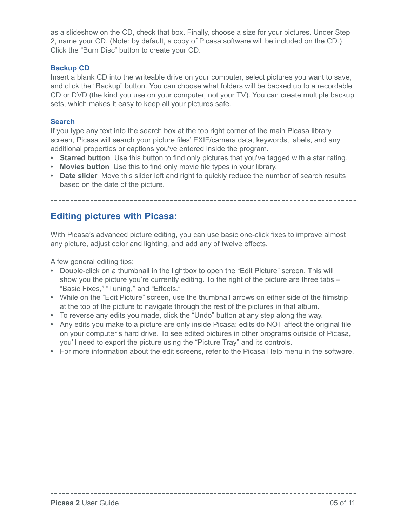as a slideshow on the CD, check that box. Finally, choose a size for your pictures. Under Step 2, name your CD. (Note: by default, a copy of Picasa software will be included on the CD.) Click the "Burn Disc" button to create your CD.

#### **Backup CD**

Insert a blank CD into the writeable drive on your computer, select pictures you want to save, and click the "Backup" button. You can choose what folders will be backed up to a recordable CD or DVD (the kind you use on your computer, not your TV). You can create multiple backup sets, which makes it easy to keep all your pictures safe.

#### **Search**

If you type any text into the search box at the top right corner of the main Picasa library screen, Picasa will search your picture files' EXIF/camera data, keywords, labels, and any additional properties or captions you've entered inside the program.

- **Starred button** Use this button to find only pictures that you've tagged with a star rating.
- **Movies button** Use this to find only movie file types in your library.
- **Date slider** Move this slider left and right to quickly reduce the number of search results based on the date of the picture.

### **Editing pictures with Picasa:**

With Picasa's advanced picture editing, you can use basic one-click fixes to improve almost any picture, adjust color and lighting, and add any of twelve effects.

A few general editing tips:

- Double-click on a thumbnail in the lightbox to open the "Edit Picture" screen. This will show you the picture you're currently editing. To the right of the picture are three tabs – "Basic Fixes," "Tuning," and "Effects."
- While on the "Edit Picture" screen, use the thumbnail arrows on either side of the filmstrip at the top of the picture to navigate through the rest of the pictures in that album.
- To reverse any edits you made, click the "Undo" button at any step along the way.
- Any edits you make to a picture are only inside Picasa; edits do NOT affect the original file on your computer's hard drive. To see edited pictures in other programs outside of Picasa, you'll need to export the picture using the "Picture Tray" and its controls.
- For more information about the edit screens, refer to the Picasa Help menu in the software.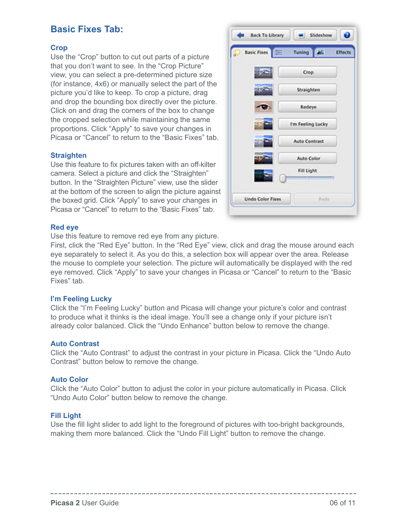### **Basic Fixes Tab:**

#### **Crop**

Use the "Crop" button to cut out parts of a picture that you don't want to see. In the "Crop Picture" view, you can select a pre-determined picture size (for instance, 4x6) or manually select the part of the picture you'd like to keep. To crop a picture, drag and drop the bounding box directly over the picture. Click on and drag the corners of the box to change the cropped selection while maintaining the same proportions. Click "Apply" to save your changes in Picasa or "Cancel" to return to the "Basic Fixes" tab.

#### **Straighten**

Use this feature to fix pictures taken with an off-kilter camera. Select a picture and click the "Straighten" button. In the "Straighten Picture" view, use the slider at the bottom of the screen to align the picture against the boxed grid. Click "Apply" to save your changes in Picasa or "Cancel" to return to the "Basic Fixes" tab.



#### **Red eye**

Use this feature to remove red eye from any picture.

First, click the "Red Eye" button. In the "Red Eye" view, click and drag the mouse around each eye separately to select it. As you do this, a selection box will appear over the area. Release the mouse to complete your selection. The picture will automatically be displayed with the red eye removed. Click "Apply" to save your changes in Picasa or "Cancel" to return to the "Basic Fixes" tab.

#### **I'm Feeling Lucky**

Click the "I'm Feeling Lucky" button and Picasa will change your picture's color and contrast to produce what it thinks is the ideal image. You'll see a change only if your picture isn't already color balanced. Click the "Undo Enhance" button below to remove the change.

#### **Auto Contrast**

Click the "Auto Contrast" to adjust the contrast in your picture in Picasa. Click the "Undo Auto Contrast" button below to remove the change.

#### **Auto Color**

Click the "Auto Color" button to adjust the color in your picture automatically in Picasa. Click "Undo Auto Color" button below to remove the change.

#### **Fill Light**

Use the fill light slider to add light to the foreground of pictures with too-bright backgrounds, making them more balanced. Click the "Undo Fill Light" button to remove the change.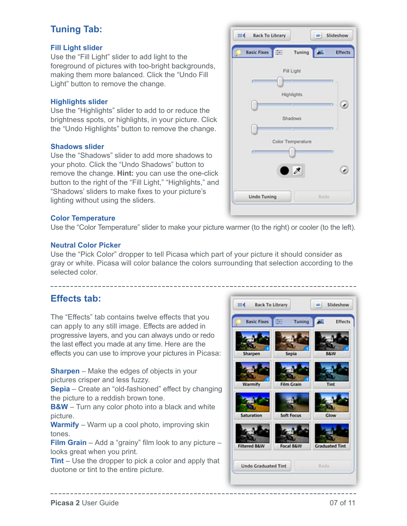# **Tuning Tab:**

#### **Fill Light slider**

Use the "Fill Light" slider to add light to the foreground of pictures with too-bright backgrounds, making them more balanced. Click the "Undo Fill Light" button to remove the change.

#### **Highlights slider**

Use the "Highlights" slider to add to or reduce the brightness spots, or highlights, in your picture. Click the "Undo Highlights" button to remove the change.

#### **Shadows slider**

Use the "Shadows" slider to add more shadows to your photo. Click the "Undo Shadows" button to remove the change. **Hint:** you can use the one-click button to the right of the "Fill Light," "Highlights," and "Shadows' sliders to make fixes to your picture's lighting without using the sliders.

#### **Color Temperature**

Use the "Color Temperature" slider to make your picture warmer (to the right) or cooler (to the left).

#### **Neutral Color Picker**

Use the "Pick Color" dropper to tell Picasa which part of your picture it should consider as gray or white. Picasa will color balance the colors surrounding that selection according to the selected color.

# **Effects tab:**

The "Effects" tab contains twelve effects that you can apply to any still image. Effects are added in progressive layers, and you can always undo or redo the last effect you made at any time. Here are the effects you can use to improve your pictures in Picasa:

**Sharpen** – Make the edges of objects in your pictures crisper and less fuzzy.

**Sepia** – Create an "old-fashioned" effect by changing the picture to a reddish brown tone.

**B&W** – Turn any color photo into a black and white picture.

**Warmify** – Warm up a cool photo, improving skin tones.

**Film Grain** – Add a "grainy" film look to any picture – looks great when you print.

**Tint** – Use the dropper to pick a color and apply that duotone or tint to the entire picture.



| <b>Basic Fixes</b><br>圭 | Tuning <b>ALL</b>        | <b>Effects</b> |
|-------------------------|--------------------------|----------------|
|                         | Fill Light               |                |
|                         |                          |                |
|                         | Highlights               |                |
|                         |                          | Ø              |
|                         | Shadows                  |                |
|                         |                          |                |
|                         | Color Temperature        |                |
| n                       |                          | n              |
|                         |                          |                |
|                         | $\overline{\mathscr{E}}$ | è              |
|                         |                          |                |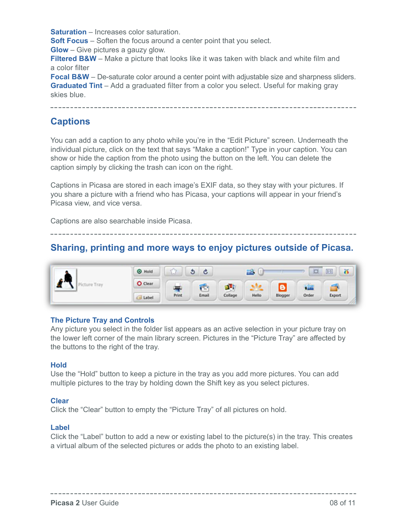**Saturation** – Increases color saturation.

**Soft Focus** – Soften the focus around a center point that you select.

**Glow** – Give pictures a gauzy glow.

**Filtered B&W** – Make a picture that looks like it was taken with black and white film and a color filter

**Focal B&W** – De-saturate color around a center point with adjustable size and sharpness sliders. **Graduated Tint** – Add a graduated filter from a color you select. Useful for making gray skies blue.

### **Captions**

You can add a caption to any photo while you're in the "Edit Picture" screen. Underneath the individual picture, click on the text that says "Make a caption!" Type in your caption. You can show or hide the caption from the photo using the button on the left. You can delete the caption simply by clicking the trash can icon on the right.

Captions in Picasa are stored in each image's EXIF data, so they stay with your pictures. If you share a picture with a friend who has Picasa, your captions will appear in your friend's Picasa view, and vice versa.

Captions are also searchable inside Picasa.

# **Sharing, printing and more ways to enjoy pictures outside of Picasa.**



#### **The Picture Tray and Controls**

Any picture you select in the folder list appears as an active selection in your picture tray on the lower left corner of the main library screen. Pictures in the "Picture Tray" are affected by the buttons to the right of the tray.

#### **Hold**

Use the "Hold" button to keep a picture in the tray as you add more pictures. You can add multiple pictures to the tray by holding down the Shift key as you select pictures.

#### **Clear**

Click the "Clear" button to empty the "Picture Tray" of all pictures on hold.

#### **Label**

Click the "Label" button to add a new or existing label to the picture(s) in the tray. This creates a virtual album of the selected pictures or adds the photo to an existing label.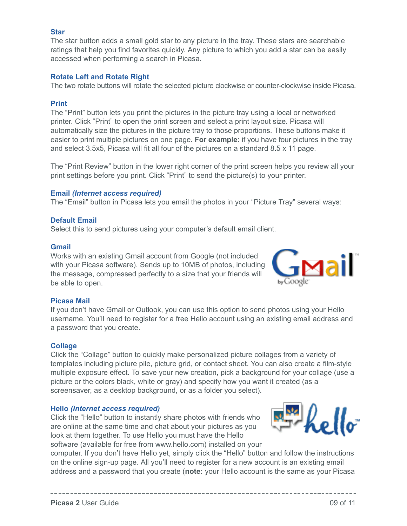#### **Star**

The star button adds a small gold star to any picture in the tray. These stars are searchable ratings that help you find favorites quickly. Any picture to which you add a star can be easily accessed when performing a search in Picasa.

#### **Rotate Left and Rotate Right**

The two rotate buttons will rotate the selected picture clockwise or counter-clockwise inside Picasa.

#### **Print**

The "Print" button lets you print the pictures in the picture tray using a local or networked printer. Click "Print" to open the print screen and select a print layout size. Picasa will automatically size the pictures in the picture tray to those proportions. These buttons make it easier to print multiple pictures on one page. **For example:** if you have four pictures in the tray and select 3.5x5, Picasa will fit all four of the pictures on a standard 8.5 x 11 page.

The "Print Review" button in the lower right corner of the print screen helps you review all your print settings before you print. Click "Print" to send the picture(s) to your printer.

#### **Email** *(Internet access required)*

The "Email" button in Picasa lets you email the photos in your "Picture Tray" several ways:

#### **Default Email**

Select this to send pictures using your computer's default email client.

#### **Gmail**

Works with an existing Gmail account from Google (not included with your Picasa software). Sends up to 10MB of photos, including the message, compressed perfectly to a size that your friends will be able to open.



#### **Picasa Mail**

If you don't have Gmail or Outlook, you can use this option to send photos using your Hello username. You'll need to register for a free Hello account using an existing email address and a password that you create.

#### **Collage**

Click the "Collage" button to quickly make personalized picture collages from a variety of templates including picture pile, picture grid, or contact sheet. You can also create a film-style multiple exposure effect. To save your new creation, pick a background for your collage (use a picture or the colors black, white or gray) and specify how you want it created (as a screensaver, as a desktop background, or as a folder you select).

#### **Hello** *(Internet access required)*

Click the "Hello" button to instantly share photos with friends who are online at the same time and chat about your pictures as you look at them together. To use Hello you must have the Hello software (available for free from www.hello.com) installed on your

computer. If you don't have Hello yet, simply click the "Hello" button and follow the instructions on the online sign-up page. All you'll need to register for a new account is an existing email address and a password that you create (**note:** your Hello account is the same as your Picasa

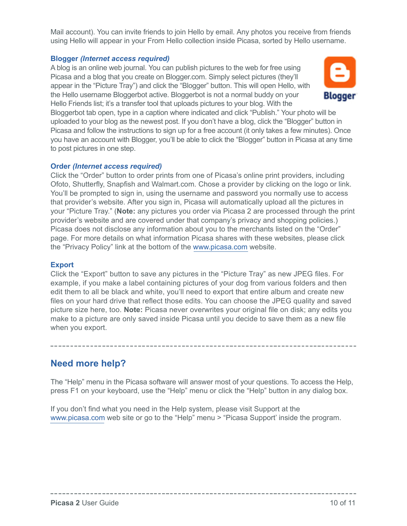Mail account). You can invite friends to join Hello by email. Any photos you receive from friends using Hello will appear in your From Hello collection inside Picasa, sorted by Hello username.

#### **Blogger** *(Internet access required)*

A blog is an online web journal. You can publish pictures to the web for free using Picasa and a blog that you create on Blogger.com. Simply select pictures (they'll appear in the "Picture Tray") and click the "Blogger" button. This will open Hello, with the Hello username Bloggerbot active. Bloggerbot is not a normal buddy on your Hello Friends list; it's a transfer tool that uploads pictures to your blog. With the



Bloggerbot tab open, type in a caption where indicated and click "Publish." Your photo will be uploaded to your blog as the newest post. If you don't have a blog, click the "Blogger" button in Picasa and follow the instructions to sign up for a free account (it only takes a few minutes). Once you have an account with Blogger, you'll be able to click the "Blogger" button in Picasa at any time to post pictures in one step.

#### **Order** *(Internet access required)*

Click the "Order" button to order prints from one of Picasa's online print providers, including Ofoto, Shutterfly, Snapfish and Walmart.com. Chose a provider by clicking on the logo or link. You'll be prompted to sign in, using the username and password you normally use to access that provider's website. After you sign in, Picasa will automatically upload all the pictures in your "Picture Tray." (**Note:** any pictures you order via Picasa 2 are processed through the print provider's website and are covered under that company's privacy and shopping policies.) Picasa does not disclose any information about you to the merchants listed on the "Order" page. For more details on what information Picasa shares with these websites, please click the "Privacy Policy" link at the bottom of the www.picasa.com website.

#### **Export**

Click the "Export" button to save any pictures in the "Picture Tray" as new JPEG files. For example, if you make a label containing pictures of your dog from various folders and then edit them to all be black and white, you'll need to export that entire album and create new files on your hard drive that reflect those edits. You can choose the JPEG quality and saved picture size here, too. **Note:** Picasa never overwrites your original file on disk; any edits you make to a picture are only saved inside Picasa until you decide to save them as a new file when you export.

### **Need more help?**

The "Help" menu in the Picasa software will answer most of your questions. To access the Help, press F1 on your keyboard, use the "Help" menu or click the "Help" button in any dialog box.

If you don't find what you need in the Help system, please visit Support at the www.picasa.com web site or go to the "Help" menu > "Picasa Support' inside the program.